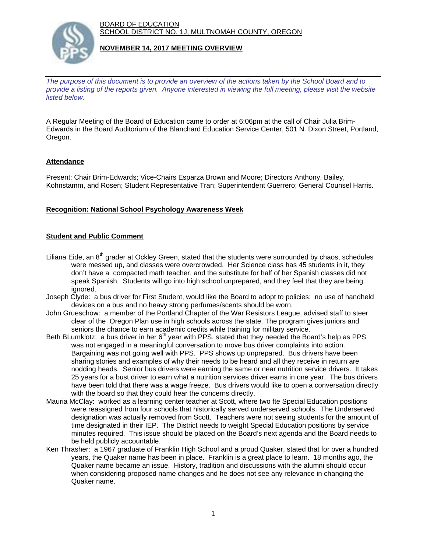BOARD OF EDUCATION SCHOOL DISTRICT NO. 1J, MULTNOMAH COUNTY, OREGON



### **NOVEMBER 14, 2017 MEETING OVERVIEW**

*The purpose of this document is to provide an overview of the actions taken by the School Board and to provide a listing of the reports given. Anyone interested in viewing the full meeting, please visit the website listed below.*

A Regular Meeting of the Board of Education came to order at 6:06pm at the call of Chair Julia Brim-Edwards in the Board Auditorium of the Blanchard Education Service Center, 501 N. Dixon Street, Portland, Oregon.

# **Attendance**

Present: Chair Brim-Edwards; Vice-Chairs Esparza Brown and Moore; Directors Anthony, Bailey, Kohnstamm, and Rosen; Student Representative Tran; Superintendent Guerrero; General Counsel Harris.

# **Recognition: National School Psychology Awareness Week**

### **Student and Public Comment**

- Liliana Eide, an  $8<sup>th</sup>$  grader at Ockley Green, stated that the students were surrounded by chaos, schedules were messed up, and classes were overcrowded. Her Science class has 45 students in it, they don't have a compacted math teacher, and the substitute for half of her Spanish classes did not speak Spanish. Students will go into high school unprepared, and they feel that they are being ignored.
- Joseph Clyde: a bus driver for First Student, would like the Board to adopt to policies: no use of handheld devices on a bus and no heavy strong perfumes/scents should be worn.
- John Grueschow: a member of the Portland Chapter of the War Resistors League, advised staff to steer clear of the Oregon Plan use in high schools across the state. The program gives juniors and seniors the chance to earn academic credits while training for military service.
- Beth BLumklotz: a bus driver in her 6<sup>th</sup> year with PPS, stated that they needed the Board's help as PPS was not engaged in a meaningful conversation to move bus driver complaints into action. Bargaining was not going well with PPS. PPS shows up unprepared. Bus drivers have been sharing stories and examples of why their needs to be heard and all they receive in return are nodding heads. Senior bus drivers were earning the same or near nutrition service drivers. It takes 25 years for a bust driver to earn what a nutrition services driver earns in one year. The bus drivers have been told that there was a wage freeze. Bus drivers would like to open a conversation directly with the board so that they could hear the concerns directly.
- Mauria McClay: worked as a learning center teacher at Scott, where two fte Special Education positions were reassigned from four schools that historically served underserved schools. The Underserved designation was actually removed from Scott. Teachers were not seeing students for the amount of time designated in their IEP. The District needs to weight Special Education positions by service minutes required. This issue should be placed on the Board's next agenda and the Board needs to be held publicly accountable.
- Ken Thrasher: a 1967 graduate of Franklin High School and a proud Quaker, stated that for over a hundred years, the Quaker name has been in place. Franklin is a great place to learn. 18 months ago, the Quaker name became an issue. History, tradition and discussions with the alumni should occur when considering proposed name changes and he does not see any relevance in changing the Quaker name.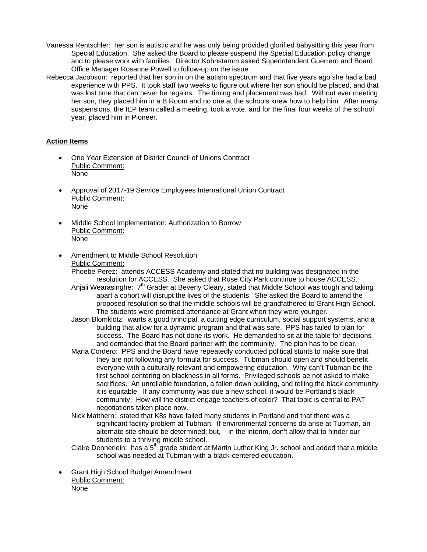- Vanessa Rentschler: her son is autistic and he was only being provided glorified babysitting this year from Special Education. She asked the Board to please suspend the Special Education policy change and to please work with families. Director Kohnstamm asked Superintendent Guerrero and Board Office Manager Rosanne Powell to follow-up on the issue.
- Rebecca Jacobson: reported that her son in on the autism spectrum and that five years ago she had a bad experience with PPS. It took staff two weeks to figure out where her son should be placed, and that was lost time that can never be regains. The timing and placement was bad. Without ever meeting her son, they placed him in a B Room and no one at the schools knew how to help him. After many suspensions, the IEP team called a meeting, took a vote, and for the final four weeks of the school year, placed him in Pioneer.

# **Action Items**

- One Year Extension of District Council of Unions Contract Public Comment: None
- Approval of 2017-19 Service Employees International Union Contract Public Comment: None
- Middle School Implementation: Authorization to Borrow Public Comment: None
- Amendment to Middle School Resolution Public Comment:

Phoebe Perez: attends ACCESS Academy and stated that no building was designated in the resolution for ACCESS. She asked that Rose City Park continue to house ACCESS.

- Anjali Wearasinghe: 7<sup>th</sup> Grader at Beverly Cleary, stated that Middle School was tough and taking apart a cohort will disrupt the lives of the students. She asked the Board to amend the proposed resolution so that the middle schools will be grandfathered to Grant High School. The students were promised attendance at Grant when they were younger.
- Jason Blomklotz: wants a good principal, a cutting edge curriculum, social support systems, and a building that allow for a dynamic program and that was safe. PPS has failed to plan for success. The Board has not done its work. He demanded to sit at the table for decisions and demanded that the Board partner with the community. The plan has to be clear.
- Maria Cordero: PPS and the Board have repeatedly conducted political stunts to make sure that they are not following any formula for success. Tubman should open and should benefit everyone with a culturally relevant and empowering education. Why can't Tubman be the first school centering on blackness in all forms. Privileged schools ae not asked to make sacrifices. An unreliable foundation, a fallen down building, and telling the black community it is equitable. If any community was due a new school, it would be Portland's black community. How will the district engage teachers of color? That topic is central to PAT negotiations taken place now.
- Nick Matthern: stated that K8s have failed many students in Portland and that there was a significant facility problem at Tubman. If environmental concerns do arise at Tubman, an alternate site should be determined; but, in the interim, don't allow that to hinder our students to a thriving middle school.
- Claire Dennerlein: has a 5<sup>th</sup> grade student at Martin Luther King Jr. school and added that a middle school was needed at Tubman with a black-centered education.
- Grant High School Budget Amendment Public Comment: None